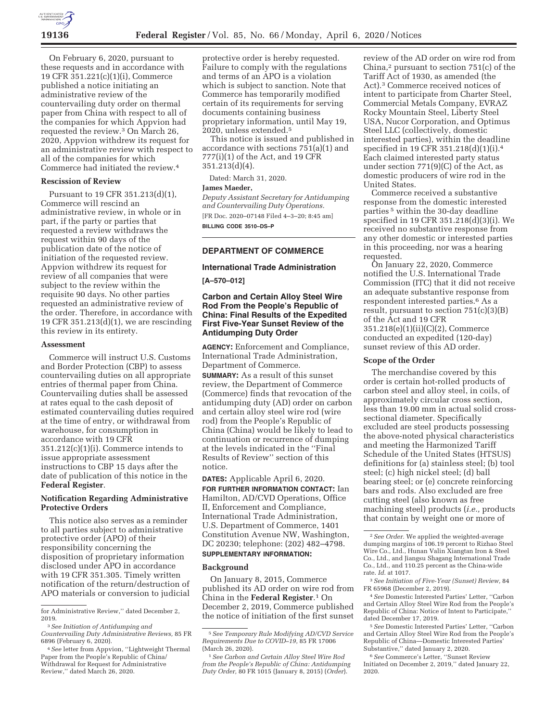

On February 6, 2020, pursuant to these requests and in accordance with 19 CFR 351.221(c)(1)(i), Commerce published a notice initiating an administrative review of the countervailing duty order on thermal paper from China with respect to all of the companies for which Appvion had requested the review.3 On March 26, 2020, Appvion withdrew its request for an administrative review with respect to all of the companies for which Commerce had initiated the review.4

# **Rescission of Review**

Pursuant to 19 CFR 351.213(d)(1), Commerce will rescind an administrative review, in whole or in part, if the party or parties that requested a review withdraws the request within 90 days of the publication date of the notice of initiation of the requested review. Appvion withdrew its request for review of all companies that were subject to the review within the requisite 90 days. No other parties requested an administrative review of the order. Therefore, in accordance with 19 CFR 351.213(d)(1), we are rescinding this review in its entirety.

### **Assessment**

Commerce will instruct U.S. Customs and Border Protection (CBP) to assess countervailing duties on all appropriate entries of thermal paper from China. Countervailing duties shall be assessed at rates equal to the cash deposit of estimated countervailing duties required at the time of entry, or withdrawal from warehouse, for consumption in accordance with 19 CFR 351.212(c)(1)(i). Commerce intends to issue appropriate assessment instructions to CBP 15 days after the date of publication of this notice in the **Federal Register**.

# **Notification Regarding Administrative Protective Orders**

This notice also serves as a reminder to all parties subject to administrative protective order (APO) of their responsibility concerning the disposition of proprietary information disclosed under APO in accordance with 19 CFR 351.305. Timely written notification of the return/destruction of APO materials or conversion to judicial protective order is hereby requested. Failure to comply with the regulations and terms of an APO is a violation which is subject to sanction. Note that Commerce has temporarily modified certain of its requirements for serving documents containing business proprietary information, until May 19, 2020, unless extended.5

This notice is issued and published in accordance with sections 751(a)(1) and 777(i)(1) of the Act, and 19 CFR 351.213(d)(4).

Dated: March 31, 2020.

### **James Maeder,**

*Deputy Assistant Secretary for Antidumping and Countervailing Duty Operations.*  [FR Doc. 2020–07148 Filed 4–3–20; 8:45 am] **BILLING CODE 3510–DS–P** 

## **DEPARTMENT OF COMMERCE**

## **International Trade Administration**

**[A–570–012]** 

# **Carbon and Certain Alloy Steel Wire Rod From the People's Republic of China: Final Results of the Expedited First Five-Year Sunset Review of the Antidumping Duty Order**

**AGENCY:** Enforcement and Compliance, International Trade Administration, Department of Commerce.

**SUMMARY:** As a result of this sunset review, the Department of Commerce (Commerce) finds that revocation of the antidumping duty (AD) order on carbon and certain alloy steel wire rod (wire rod) from the People's Republic of China (China) would be likely to lead to continuation or recurrence of dumping at the levels indicated in the ''Final Results of Review'' section of this notice.

**DATES:** Applicable April 6, 2020. **FOR FURTHER INFORMATION CONTACT:** Ian Hamilton, AD/CVD Operations, Office II, Enforcement and Compliance, International Trade Administration, U.S. Department of Commerce, 1401 Constitution Avenue NW, Washington, DC 20230; telephone: (202) 482–4798.

# **SUPPLEMENTARY INFORMATION:**

## **Background**

On January 8, 2015, Commerce published its AD order on wire rod from China in the **Federal Register**.1 On December 2, 2019, Commerce published the notice of initiation of the first sunset

review of the AD order on wire rod from China, $2$  pursuant to section  $751(c)$  of the Tariff Act of 1930, as amended (the Act).3 Commerce received notices of intent to participate from Charter Steel, Commercial Metals Company, EVRAZ Rocky Mountain Steel, Liberty Steel USA, Nucor Corporation, and Optimus Steel LLC (collectively, domestic interested parties), within the deadline specified in 19 CFR 351.218(d)(1)(i).4 Each claimed interested party status under section 771(9)(C) of the Act, as domestic producers of wire rod in the United States.

Commerce received a substantive response from the domestic interested parties 5 within the 30-day deadline specified in 19 CFR 351.218(d)(3)(i). We received no substantive response from any other domestic or interested parties in this proceeding, nor was a hearing requested.

On January 22, 2020, Commerce notified the U.S. International Trade Commission (ITC) that it did not receive an adequate substantive response from respondent interested parties.6 As a result, pursuant to section  $751(c)(3)(B)$ of the Act and 19 CFR 351.218(e)(1)(ii)(C)(2), Commerce conducted an expedited (120-day) sunset review of this AD order.

### **Scope of the Order**

The merchandise covered by this order is certain hot-rolled products of carbon steel and alloy steel, in coils, of approximately circular cross section, less than 19.00 mm in actual solid crosssectional diameter. Specifically excluded are steel products possessing the above-noted physical characteristics and meeting the Harmonized Tariff Schedule of the United States (HTSUS) definitions for (a) stainless steel; (b) tool steel; (c) high nickel steel; (d) ball bearing steel; or (e) concrete reinforcing bars and rods. Also excluded are free cutting steel (also known as free machining steel) products (*i.e.,* products that contain by weight one or more of

for Administrative Review,'' dated December 2, 2019.

<sup>3</sup>*See Initiation of Antidumping and* 

*Countervailing Duty Administrative Reviews,* 85 FR 6896 (February 6, 2020).

<sup>4</sup>*See* letter from Appvion, ''Lightweight Thermal Paper from the People's Republic of China/ Withdrawal for Request for Administrative Review,'' dated March 26, 2020.

<sup>5</sup>*See Temporary Rule Modifying AD/CVD Service Requirements Due to COVID–19,* 85 FR 17006 (March 26, 2020).

<sup>1</sup>*See Carbon and Certain Alloy Steel Wire Rod from the People's Republic of China: Antidumping Duty Order,* 80 FR 1015 (January 8, 2015) (*Order*).

<sup>2</sup>*See Order.* We applied the weighted-average dumping margins of 106.19 percent to Rizhao Steel Wire Co., Ltd., Hunan Valin Xiangtan Iron & Steel Co., Ltd., and Jiangsu Shagang International Trade Co., Ltd., and 110.25 percent as the China-wide rate. *Id.* at 1017.

<sup>3</sup>*See Initiation of Five-Year (Sunset) Review,* 84 FR 65968 (December 2, 2019).

<sup>4</sup>*See* Domestic Interested Parties' Letter, ''Carbon and Certain Alloy Steel Wire Rod from the People's Republic of China: Notice of Intent to Participate,'' dated December 17, 2019.

<sup>5</sup>*See* Domestic Interested Parties' Letter, ''Carbon and Certain Alloy Steel Wire Rod from the People's Republic of China—Domestic Interested Parties' Substantive,'' dated January 2, 2020.

<sup>6</sup>*See* Commerce's Letter, ''Sunset Review Initiated on December 2, 2019,'' dated January 22, 2020.